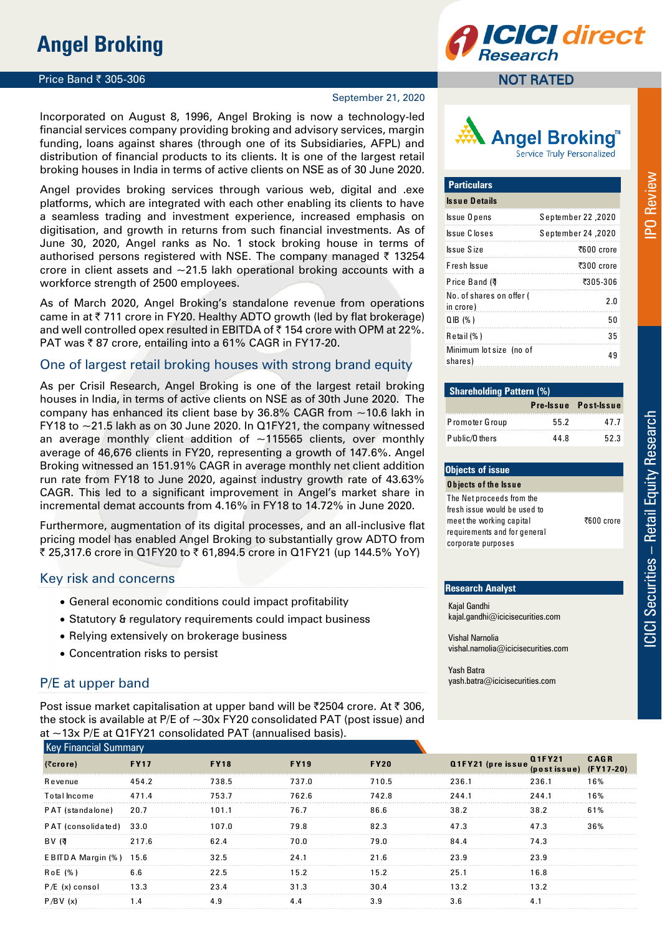# **Angel Broking**

### **Price Band ₹ 305-306**

### September 21, 2020

Incorporated on August 8, 1996, Angel Broking is now a technology-led financial services company providing broking and advisory services, margin funding, loans against shares (through one of its Subsidiaries, AFPL) and distribution of financial products to its clients. It is one of the largest retail broking houses in India in terms of active clients on NSE as of 30 June 2020.

Angel provides broking services through various web, digital and .exe platforms, which are integrated with each other enabling its clients to have a seamless trading and investment experience, increased emphasis on digitisation, and growth in returns from such financial investments. As of June 30, 2020, Angel ranks as No. 1 stock broking house in terms of authorised persons registered with NSE. The company managed  $\bar{\tau}$  13254 crore in client assets and  $\sim$ 21.5 lakh operational broking accounts with a workforce strength of 2500 employees.

As of March 2020, Angel Broking's standalone revenue from operations came in at  $\bar{\tau}$  711 crore in FY20. Healthy ADTO growth (led by flat brokerage) and well controlled opex resulted in EBITDA of  $\bar{\tau}$  154 crore with OPM at 22%. PAT was  $\overline{\xi}$  87 crore, entailing into a 61% CAGR in FY17-20.

### One of largest retail broking houses with strong brand equity

As per Crisil Research, Angel Broking is one of the largest retail broking houses in India, in terms of active clients on NSE as of 30th June 2020. The company has enhanced its client base by 36.8% CAGR from ~10.6 lakh in FY18 to  $\sim$ 21.5 lakh as on 30 June 2020. In Q1FY21, the company witnessed an average monthly client addition of  $\sim$ 115565 clients, over monthly average of 46,676 clients in FY20, representing a growth of 147.6%. Angel Broking witnessed an 151.91% CAGR in average monthly net client addition run rate from FY18 to June 2020, against industry growth rate of 43.63% CAGR. This led to a significant improvement in Angel's market share in incremental demat accounts from 4.16% in FY18 to 14.72% in June 2020.

Furthermore, augmentation of its digital processes, and an all-inclusive flat pricing model has enabled Angel Broking to substantially grow ADTO from ₹ 25,317.6 crore in Q1FY20 to ₹ 61,894.5 crore in Q1FY21 (up 144.5% YoY)

### Key risk and concerns

- General economic conditions could impact profitability
- Statutory & regulatory requirements could impact business
- Relying extensively on brokerage business
- Concentration risks to persist

## P/E at upper band

Post issue market capitalisation at upper band will be ₹2504 crore. At ₹306, at  $\sim$ 13x P/F at O1FY21 consolidated PAT (annualised basis).

### NOT RATED



| <b>Particulars</b>                    |                    |
|---------------------------------------|--------------------|
| <b>Issue Details</b>                  |                    |
| Issue Opens                           | 2020, September 22 |
| Issue Closes                          | 2020, September 24 |
| Issue Size                            | ₹600 crore         |
| Fresh Issue                           | ₹300 crore         |
| Price Band (す                         | ₹305-306           |
| No. of shares on offer (<br>in crore) | 2.0                |
| $QIB$ (%)                             | 50                 |
| $R$ etail $(\% )$                     | 35                 |
| Minimum lot size (no of<br>shares)    | 49                 |

| <b>Shareholding Pattern (%)</b> |      |                      |  |  |  |  |  |  |
|---------------------------------|------|----------------------|--|--|--|--|--|--|
|                                 |      | Pre-Issue Post-Issue |  |  |  |  |  |  |
| Promoter Group                  | 55.2 | 47.7                 |  |  |  |  |  |  |
| Public/Others                   | 44 8 | 523                  |  |  |  |  |  |  |

### **Objects of issue O b jects o f th e Issu e** The Net proceeds from the fresh issue would be used to meet the working capital requirements and for general corporate purposes

### **Research Analyst**

Kajal Gandhi kajal.gandhi@icicisecurities.com

Vishal Narnolia vishal.narnolia@icicisecurities.com

Yash Batra yash.batra@icicisecurities.com

| <b>Key Financial Summary</b> |             |             |             |             |                   |                              |                          |
|------------------------------|-------------|-------------|-------------|-------------|-------------------|------------------------------|--------------------------|
| (5crore)                     | <b>FY17</b> | <b>FY18</b> | <b>FY19</b> | <b>FY20</b> | Q1FY21 (pre issue | <b>Q1FY21</b><br>(postissue) | <b>CAGR</b><br>(FY17-20) |
| Revenue                      | 454.2       | 738.5       | 737.0       | 710.5       | 236.1             | 236.1                        | 16%                      |
| <b>Total Income</b>          | 471.4       | 753.7       | 762.6       | 742.8       | 244.1             | 244.1                        | 16%                      |
| PAT (standalone)             | 20.7        | 101.1       | 76.7        | 86.6        | 38.2              | 38.2                         | 61%                      |
| PAT (consolidated) 33.0      |             | 107.0       | 79.8        | 82.3        | 47.3              | 47.3                         | 36%                      |
| BV (す                        | 217.6       | 62.4        | 70.0        | 79.0        | 84.4              | 74.3                         |                          |
| EBITDA Margin (%)            | 15.6        | 32.5        | 24.1        | 21.6        | 23.9              | 23.9                         |                          |
| RoE (%)                      | 6.6         | 22.5        | 15.2        | 15.2        | 25.1              | 16.8                         |                          |
| $P/E$ (x) consol             | 13.3        | 23.4        | 31.3        | 30.4        | 13.2              | 13.2                         |                          |
| P/BV(x)                      | 1.4         | 4.9         | 4.4         | 3.9         | 3.6               | 4.1                          |                          |

₹600 crore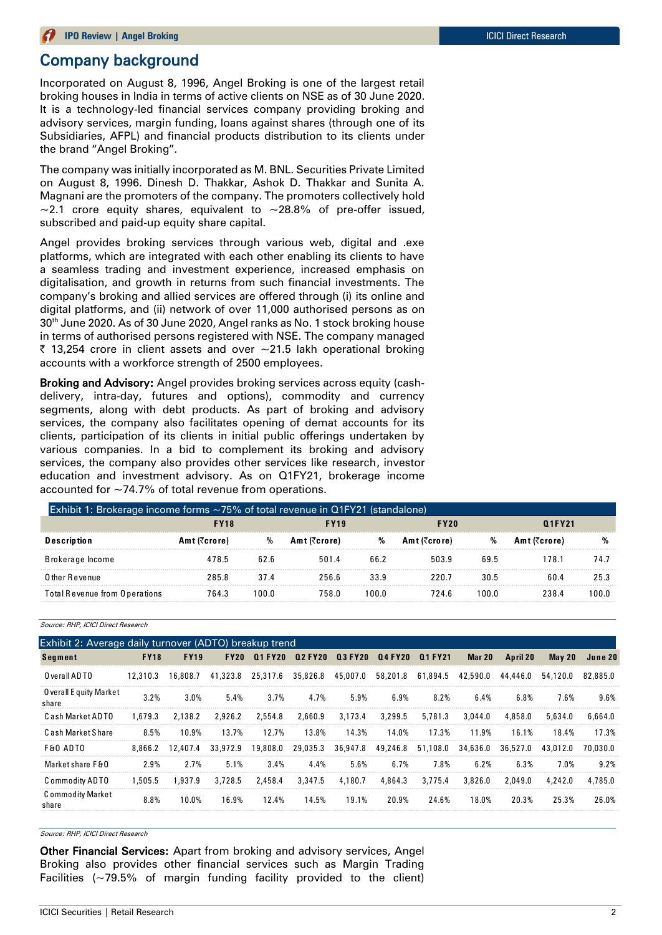# Company background

Incorporated on August 8, 1996, Angel Broking is one of the largest retail broking houses in India in terms of active clients on NSE as of 30 June 2020. It is a technology-led financial services company providing broking and advisory services, margin funding, loans against shares (through one of its Subsidiaries, AFPL) and financial products distribution to its clients under the brand "Angel Broking".

The company was initially incorporated as M. BNL. Securities Private Limited on August 8, 1996. Dinesh D. Thakkar, Ashok D. Thakkar and Sunita A. Magnani are the promoters of the company. The promoters collectively hold  $\sim$ 2.1 crore equity shares, equivalent to  $\sim$ 28.8% of pre-offer issued, subscribed and paid-up equity share capital.

Angel provides broking services through various web, digital and .exe platforms, which are integrated with each other enabling its clients to have a seamless trading and investment experience, increased emphasis on digitalisation, and growth in returns from such financial investments. The company's broking and allied services are offered through (i) its online and digital platforms, and (ii) network of over 11,000 authorised persons as on 30<sup>th</sup> June 2020. As of 30 June 2020, Angel ranks as No. 1 stock broking house in terms of authorised persons registered with NSE. The company managed  $\bar{\tau}$  13,254 crore in client assets and over  $\sim$ 21.5 lakh operational broking accounts with a workforce strength of 2500 employees.

Broking and Advisory: Angel provides broking services across equity (cashdelivery, intra-day, futures and options), commodity and currency segments, along with debt products. As part of broking and advisory services, the company also facilitates opening of demat accounts for its clients, participation of its clients in initial public offerings undertaken by various companies. In a bid to complement its broking and advisory services, the company also provides other services like research, investor education and investment advisory. As on Q1FY21, brokerage income accounted for ~74.7% of total revenue from operations.

| equication and investment advisory. As on Critizi, prokerage income<br>accounted for $\sim$ 74.7% of total revenue from operations. |              |       |              |       |              |       |              |       |
|-------------------------------------------------------------------------------------------------------------------------------------|--------------|-------|--------------|-------|--------------|-------|--------------|-------|
| Exhibit 1: Brokerage income forms $\sim$ 75% of total revenue in Q1FY21 (standalone)                                                | <b>FY18</b>  |       | <b>FY19</b>  |       | <b>FY20</b>  |       | Q1FY21       |       |
|                                                                                                                                     |              |       |              |       |              |       |              |       |
| Description                                                                                                                         | Amt (₹crore) | %     | Amt (₹crore) | %     | Amt (₹crore) | %     | Amt (₹crore) |       |
| Brokerage Income                                                                                                                    | 478.5        | 62.6  | 501.4        | 66.2  | 503.9        | 69.5  | 178.1        | 74.7  |
| O ther Revenue                                                                                                                      | 285.8        | 37.4  | 256.6        | 33.9  | 220.7        | 30.5  | 60.4         | 25.3  |
| Total Revenue from Operations                                                                                                       | 764.3        | 100 O | 758.0        | 100.0 | 724.6        | 100.0 | 238.4        | 100.0 |

| Source: RHP, ICICI Direct Research                     |             |             |             |                |                |                |                |          |          |          |          |          |
|--------------------------------------------------------|-------------|-------------|-------------|----------------|----------------|----------------|----------------|----------|----------|----------|----------|----------|
| Exhibit 2: Average daily turnover (ADTO) breakup trend |             |             |             |                |                |                |                |          |          |          |          |          |
| <b>Segment</b>                                         | <b>FY18</b> | <b>FY19</b> | <b>FY20</b> | <b>Q1 FY20</b> | <b>Q2 FY20</b> | <b>Q3 FY20</b> | <b>Q4 FY20</b> | Q1 FY21  | Mar 20   | April 20 | May $20$ | June 20  |
| O verall ADTO                                          | 12,310.3    | 16.808.7    | 41,323.8    | 25.317.6       | 35,826.8       | 45.007.0       | 58,201.8       | 61,894.5 | 42,590.0 | 44,446.0 | 54,120.0 | 82,885.0 |
| O verall E quity Market<br>share                       | 3.2%        | 3.0%        | 5.4%        | 3.7%           | 4.7%           | 5.9%           | 6.9%           | 8.2%     | 6.4%     | 6.8%     | 7.6%     | 9.6%     |
| Cash Market ADTO                                       | 1.679.3     | 2.138.2     | 2.926.2     | 2,554.8        | 2,660.9        | 3.173.4        | 3,299.5        | 5,781.3  | 3,044.0  | 4,858.0  | 5,634.0  | 6,664.0  |
| Cash Market Share                                      | 8.5%        | 10.9%       | 13.7%       | 12.7%          | 13.8%          | 14.3%          | 14.0%          | 17.3%    | 11.9%    | 16.1%    | 18.4%    | 17.3%    |
| <b>F&amp;O ADTO</b>                                    | 8,866.2     | 12,407.4    | 33,972.9    | 19,808.0       | 29,035.3       | 36,947.8       | 49,246.8       | 51,108.0 | 34,636.0 | 36,527.0 | 43,012.0 | 70,030.0 |
| Market share F&O                                       | 2.9%        | 2.7%        | 5.1%        | 3.4%           | 4.4%           | 5.6%           | 6.7%           | 7.8%     | 6.2%     | 6.3%     | 7.0%     | 9.2%     |
| Commodity ADTO                                         | 1,505.5     | 1.937.9     | 3.728.5     | 2,458.4        | 3,347.5        | 4,180.7        | 4,864.3        | 3.775.4  | 3,826.0  | 2,049.0  | 4.242.0  | 4,785.0  |
| Commodity Market<br>share                              | 8.8%        | 10.0%       | 16.9%       | 12.4%          | 14.5%          | 19.1%          | 20.9%          | 24.6%    | 18.0%    | 20.3%    | 25.3%    | 26.0%    |

Source: RHP, ICICI Direct Research

Other Financial Services: Apart from broking and advisory services, Angel Broking also provides other financial services such as Margin Trading Facilities  $(-79.5\%$  of margin funding facility provided to the client)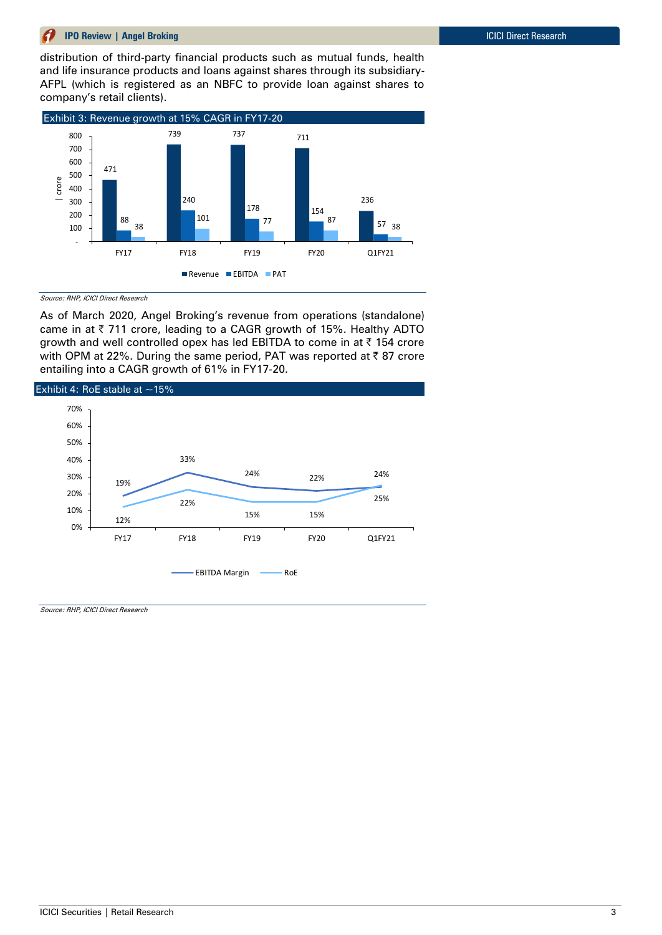distribution of third-party financial products such as mutual funds, health and life insurance products and loans against shares through its subsidiary-AFPL (which is registered as an NBFC to provide loan against shares to company's retail clients).



Source: RHP, ICICI Direct Research

As of March 2020, Angel Broking's revenue from operations (standalone) came in at ₹ 711 crore, leading to a CAGR growth of 15%. Healthy ADTO growth and well controlled opex has led EBITDA to come in at  $\bar{\tau}$  154 crore with OPM at 22%. During the same period, PAT was reported at ₹87 crore entailing into a CAGR growth of 61% in FY17-20.

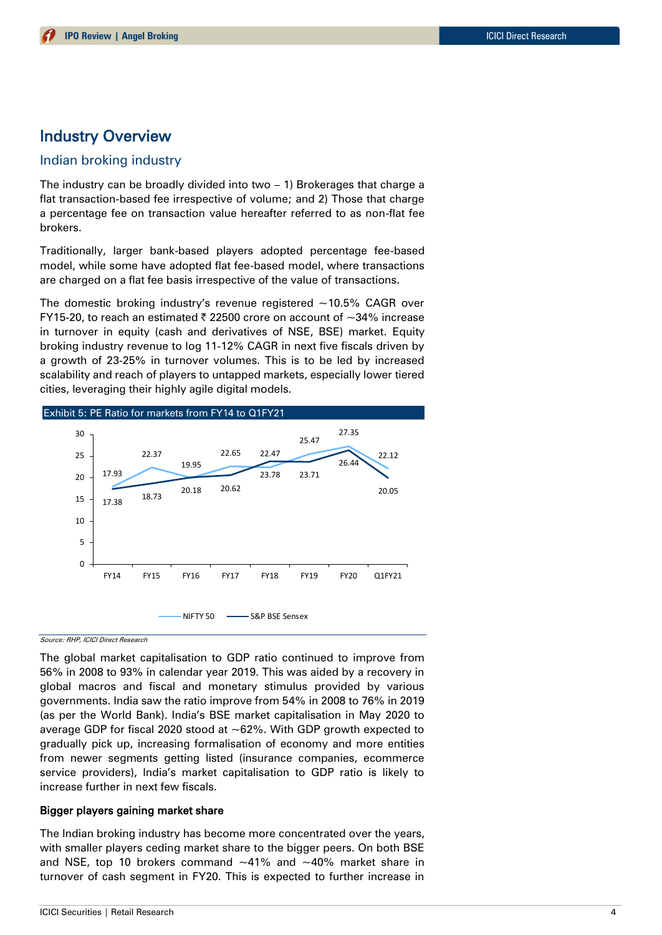# Industry Overview

### Indian broking industry

The industry can be broadly divided into two – 1) Brokerages that charge a flat transaction-based fee irrespective of volume; and 2) Those that charge a percentage fee on transaction value hereafter referred to as non-flat fee brokers.

Traditionally, larger bank-based players adopted percentage fee-based model, while some have adopted flat fee-based model, where transactions are charged on a flat fee basis irrespective of the value of transactions.

The domestic broking industry's revenue registered  $\sim$ 10.5% CAGR over FY15-20, to reach an estimated  $\bar{\tau}$  22500 crore on account of  $\sim$ 34% increase in turnover in equity (cash and derivatives of NSE, BSE) market. Equity broking industry revenue to log 11-12% CAGR in next five fiscals driven by a growth of 23-25% in turnover volumes. This is to be led by increased scalability and reach of players to untapped markets, especially lower tiered cities, leveraging their highly agile digital models.



Source: RHP, ICICI Direct Research

The global market capitalisation to GDP ratio continued to improve from 56% in 2008 to 93% in calendar year 2019. This was aided by a recovery in global macros and fiscal and monetary stimulus provided by various governments. India saw the ratio improve from 54% in 2008 to 76% in 2019 (as per the World Bank). India's BSE market capitalisation in May 2020 to average GDP for fiscal 2020 stood at ~62%. With GDP growth expected to gradually pick up, increasing formalisation of economy and more entities from newer segments getting listed (insurance companies, ecommerce service providers), India's market capitalisation to GDP ratio is likely to increase further in next few fiscals.

### Bigger players gaining market share

The Indian broking industry has become more concentrated over the years, with smaller players ceding market share to the bigger peers. On both BSE and NSE, top 10 brokers command  $~10$ % and  $~10$ % market share in turnover of cash segment in FY20. This is expected to further increase in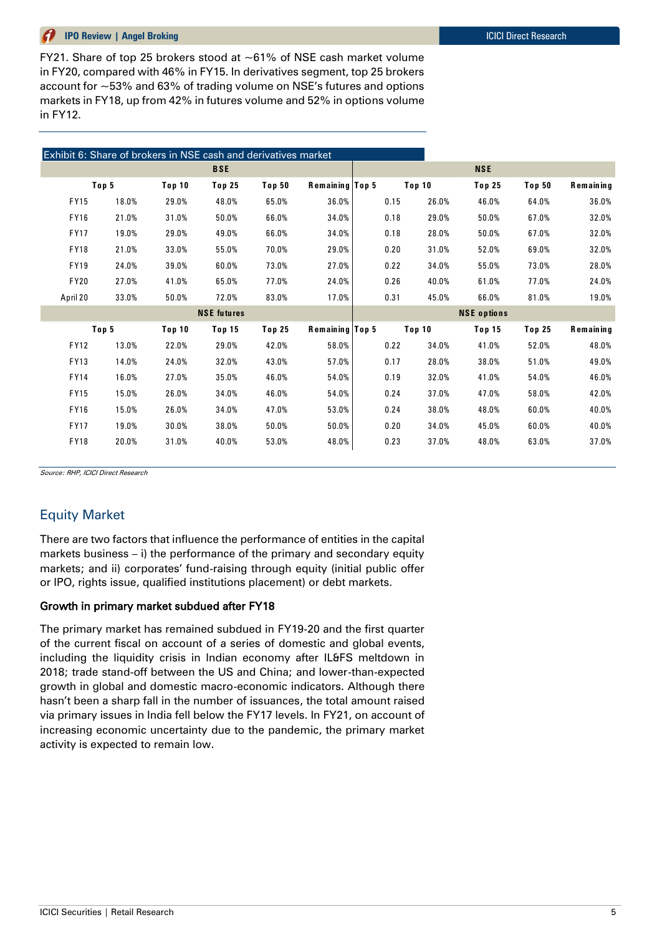FY21. Share of top 25 brokers stood at ~61% of NSE cash market volume in FY20, compared with 46% in FY15. In derivatives segment, top 25 brokers account for ~53% and 63% of trading volume on NSE's futures and options markets in FY18, up from 42% in futures volume and 52% in options volume in FY12.

|             |       | Exhibit 6: Share of brokers in NSE cash and derivatives market |                    |               |                 |      |        |                    |               |                  |
|-------------|-------|----------------------------------------------------------------|--------------------|---------------|-----------------|------|--------|--------------------|---------------|------------------|
|             |       |                                                                | <b>BSE</b>         |               |                 |      |        | <b>NSE</b>         |               |                  |
|             | Top 5 | Top 10                                                         | Top 25             | <b>Top 50</b> | Remaining Top 5 |      | Top 10 | Top 25             | <b>Top 50</b> | <b>Remaining</b> |
| <b>FY15</b> | 18.0% | 29.0%                                                          | 48.0%              | 65.0%         | 36.0%           | 0.15 | 26.0%  | 46.0%              | 64.0%         | 36.0%            |
| <b>FY16</b> | 21.0% | 31.0%                                                          | 50.0%              | 66.0%         | 34.0%           | 0.18 | 29.0%  | 50.0%              | 67.0%         | 32.0%            |
| <b>FY17</b> | 19.0% | 29.0%                                                          | 49.0%              | 66.0%         | 34.0%           | 0.18 | 28.0%  | 50.0%              | 67.0%         | 32.0%            |
| <b>FY18</b> | 21.0% | 33.0%                                                          | 55.0%              | 70.0%         | 29.0%           | 0.20 | 31.0%  | 52.0%              | 69.0%         | 32.0%            |
| <b>FY19</b> | 24.0% | 39.0%                                                          | 60.0%              | 73.0%         | 27.0%           | 0.22 | 34.0%  | 55.0%              | 73.0%         | 28.0%            |
| <b>FY20</b> | 27.0% | 41.0%                                                          | 65.0%              | 77.0%         | 24.0%           | 0.26 | 40.0%  | 61.0%              | 77.0%         | 24.0%            |
| April 20    | 33.0% | 50.0%                                                          | 72.0%              | 83.0%         | 17.0%           | 0.31 | 45.0%  | 66.0%              | 81.0%         | 19.0%            |
|             |       |                                                                | <b>NSE</b> futures |               |                 |      |        | <b>NSE</b> options |               |                  |
|             | Top 5 | <b>Top 10</b>                                                  | Top 15             | <b>Top 25</b> | Remaining Top 5 |      | Top 10 | Top 15             | <b>Top 25</b> | Remaining        |
| <b>FY12</b> | 13.0% | 22.0%                                                          | 29.0%              | 42.0%         | 58.0%           | 0.22 | 34.0%  | 41.0%              | 52.0%         | 48.0%            |
| FY13        | 14.0% | 24.0%                                                          | 32.0%              | 43.0%         | 57.0%           | 0.17 | 28.0%  | 38.0%              | 51.0%         | 49.0%            |
| <b>FY14</b> | 16.0% | 27.0%                                                          | 35.0%              | 46.0%         | 54.0%           | 0.19 | 32.0%  | 41.0%              | 54.0%         | 46.0%            |
| <b>FY15</b> | 15.0% | 26.0%                                                          | 34.0%              | 46.0%         | 54.0%           | 0.24 | 37.0%  | 47.0%              | 58.0%         | 42.0%            |
| <b>FY16</b> | 15.0% | 26.0%                                                          | 34.0%              | 47.0%         | 53.0%           | 0.24 | 38.0%  | 48.0%              | 60.0%         | 40.0%            |
| <b>FY17</b> | 19.0% | 30.0%                                                          | 38.0%              | 50.0%         | 50.0%           | 0.20 | 34.0%  | 45.0%              | 60.0%         | 40.0%            |
| FY18        | 20.0% | 31.0%                                                          | 40.0%              | 53.0%         | 48.0%           | 0.23 | 37.0%  | 48.0%              | 63.0%         | 37.0%            |

Source: RHP, ICICI Direct Research

# Equity Market

There are two factors that influence the performance of entities in the capital markets business – i) the performance of the primary and secondary equity markets; and ii) corporates' fund-raising through equity (initial public offer or IPO, rights issue, qualified institutions placement) or debt markets.

### Growth in primary market subdued after FY18

The primary market has remained subdued in FY19-20 and the first quarter of the current fiscal on account of a series of domestic and global events, including the liquidity crisis in Indian economy after IL&FS meltdown in 2018; trade stand-off between the US and China; and lower-than-expected growth in global and domestic macro-economic indicators. Although there hasn't been a sharp fall in the number of issuances, the total amount raised via primary issues in India fell below the FY17 levels. In FY21, on account of increasing economic uncertainty due to the pandemic, the primary market activity is expected to remain low.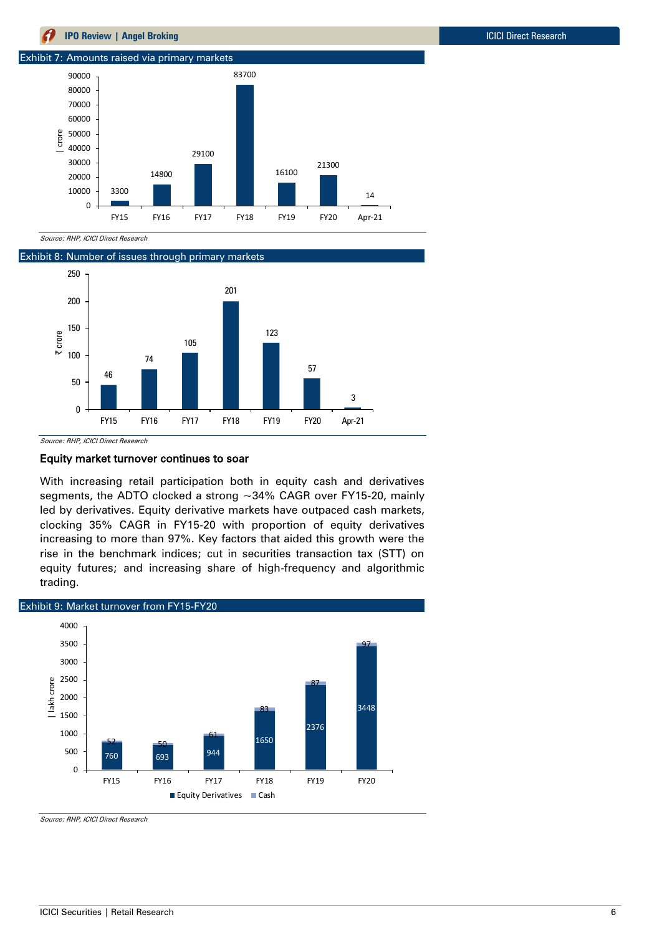



Source: RHP, ICICI Direct Research

Exhibit 8: Number of issues through primary markets



### Equity market turnover continues to soar

With increasing retail participation both in equity cash and derivatives segments, the ADTO clocked a strong ~34% CAGR over FY15-20, mainly led by derivatives. Equity derivative markets have outpaced cash markets, clocking 35% CAGR in FY15-20 with proportion of equity derivatives increasing to more than 97%. Key factors that aided this growth were the rise in the benchmark indices; cut in securities transaction tax (STT) on equity futures; and increasing share of high-frequency and algorithmic trading.

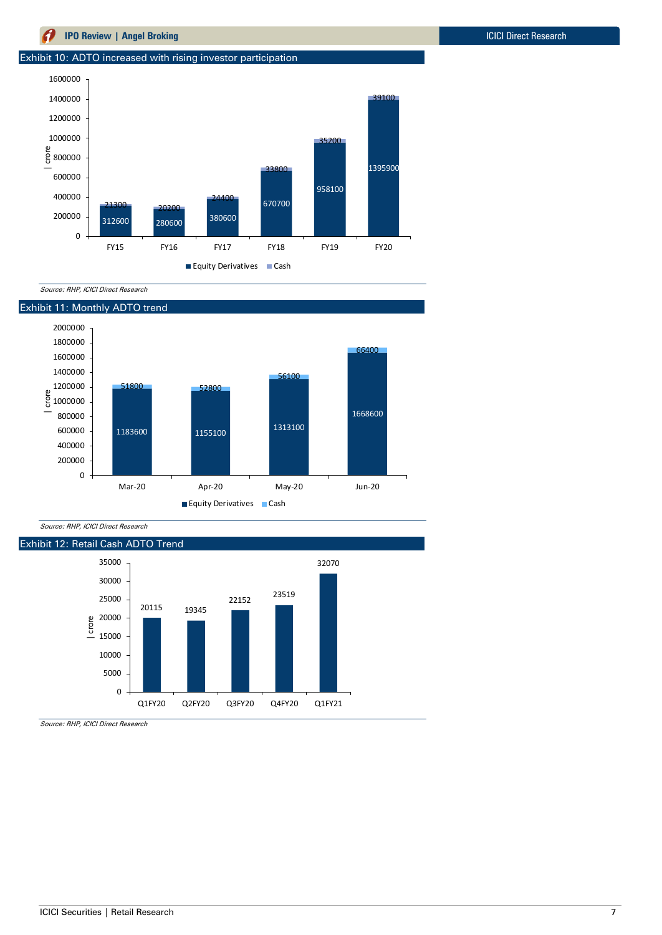### Exhibit 10: ADTO increased with rising investor participation



Source: RHP, ICICI Direct Research



Source: RHP, ICICI Direct Research

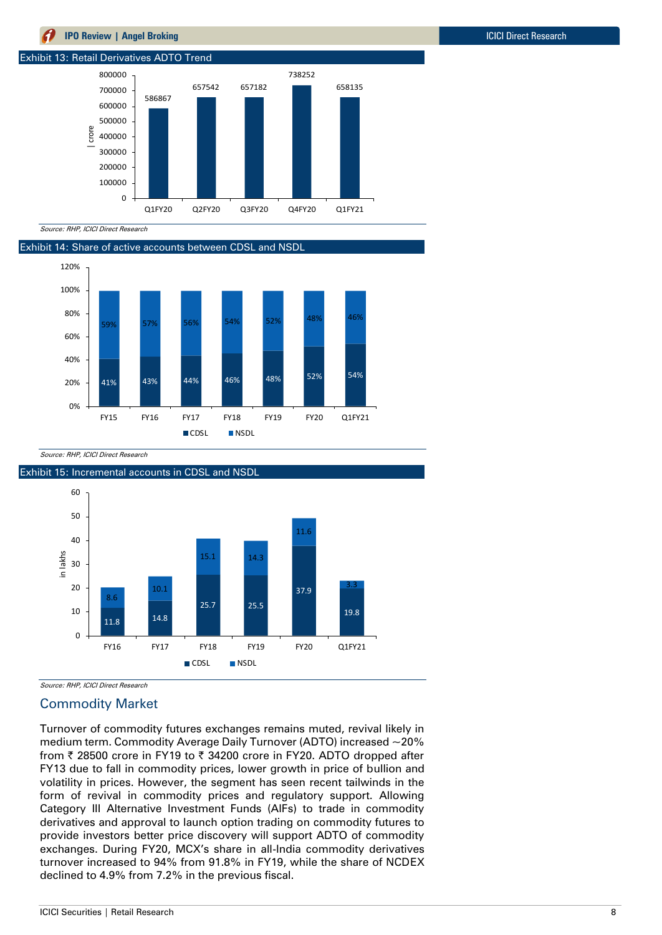

Source: RHP, ICICI Direct Research

Exhibit 14: Share of active accounts between CDSL and NSDL



Source: RHP, ICICI Direct Research



Source: RHP, ICICI Direct Research

## Commodity Market

Turnover of commodity futures exchanges remains muted, revival likely in medium term. Commodity Average Daily Turnover (ADTO) increased ~20% from ₹ 28500 crore in FY19 to ₹ 34200 crore in FY20. ADTO dropped after FY13 due to fall in commodity prices, lower growth in price of bullion and volatility in prices. However, the segment has seen recent tailwinds in the form of revival in commodity prices and regulatory support. Allowing Category III Alternative Investment Funds (AIFs) to trade in commodity derivatives and approval to launch option trading on commodity futures to provide investors better price discovery will support ADTO of commodity exchanges. During FY20, MCX's share in all-India commodity derivatives turnover increased to 94% from 91.8% in FY19, while the share of NCDEX declined to 4.9% from 7.2% in the previous fiscal.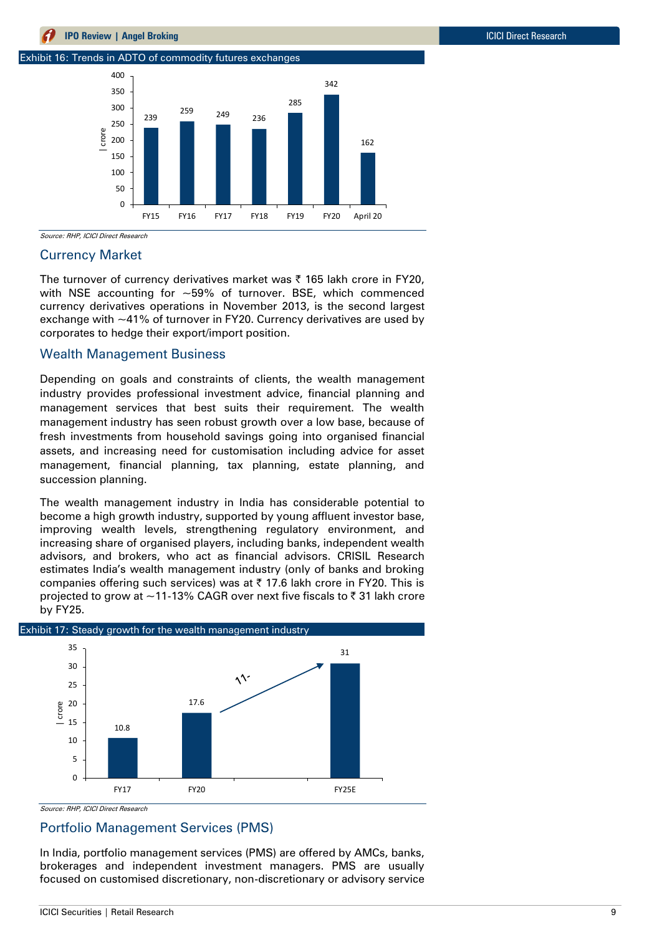

### Currency Market

The turnover of currency derivatives market was  $\bar{\tau}$  165 lakh crore in FY20, with NSE accounting for  $\sim$  59% of turnover. BSE, which commenced currency derivatives operations in November 2013, is the second largest exchange with ~41% of turnover in FY20. Currency derivatives are used by corporates to hedge their export/import position.

### Wealth Management Business

Depending on goals and constraints of clients, the wealth management industry provides professional investment advice, financial planning and management services that best suits their requirement. The wealth management industry has seen robust growth over a low base, because of fresh investments from household savings going into organised financial assets, and increasing need for customisation including advice for asset management, financial planning, tax planning, estate planning, and succession planning.

The wealth management industry in India has considerable potential to become a high growth industry, supported by young affluent investor base, improving wealth levels, strengthening regulatory environment, and increasing share of organised players, including banks, independent wealth advisors, and brokers, who act as financial advisors. CRISIL Research estimates India's wealth management industry (only of banks and broking companies offering such services) was at  $\bar{\tau}$  17.6 lakh crore in FY20. This is projected to grow at  $\sim$  11-13% CAGR over next five fiscals to  $\bar{\tau}$  31 lakh crore by FY25.



Source: RHP, ICICI Direct Research

### Portfolio Management Services (PMS)

In India, portfolio management services (PMS) are offered by AMCs, banks, brokerages and independent investment managers. PMS are usually focused on customised discretionary, non-discretionary or advisory service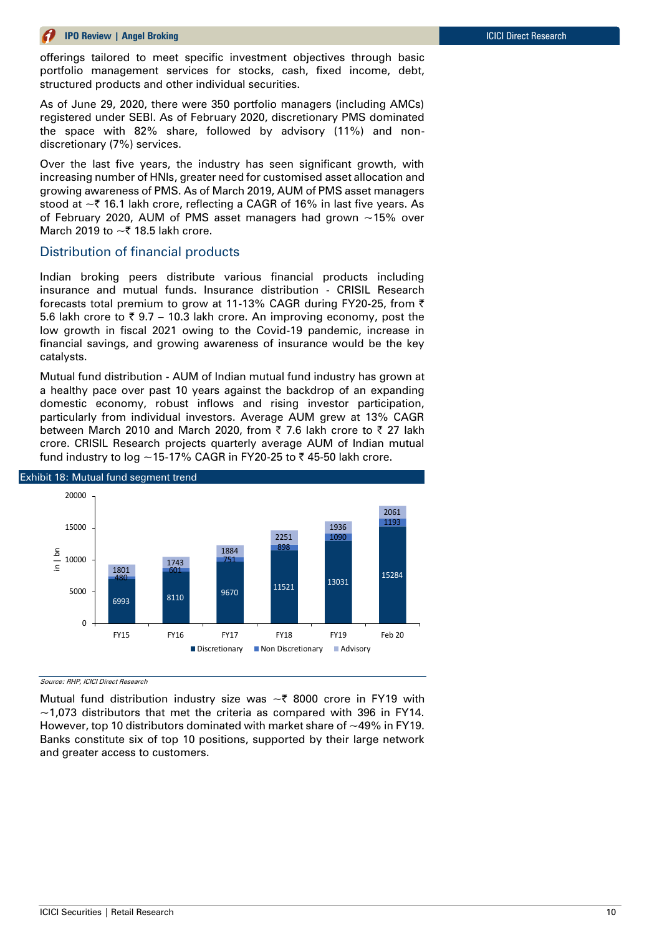offerings tailored to meet specific investment objectives through basic portfolio management services for stocks, cash, fixed income, debt, structured products and other individual securities.

As of June 29, 2020, there were 350 portfolio managers (including AMCs) registered under SEBI. As of February 2020, discretionary PMS dominated the space with 82% share, followed by advisory (11%) and nondiscretionary (7%) services.

Over the last five years, the industry has seen significant growth, with increasing number of HNIs, greater need for customised asset allocation and growing awareness of PMS. As of March 2019, AUM of PMS asset managers stood at  $\sim$  ₹ 16.1 lakh crore, reflecting a CAGR of 16% in last five years. As of February 2020, AUM of PMS asset managers had grown  $\sim$ 15% over March 2019 to  $\sim$  ₹ 18.5 lakh crore.

### Distribution of financial products

Indian broking peers distribute various financial products including insurance and mutual funds. Insurance distribution - CRISIL Research forecasts total premium to grow at 11-13% CAGR during FY20-25, from  $\bar{z}$ 5.6 lakh crore to  $\overline{\zeta}$  9.7 – 10.3 lakh crore. An improving economy, post the low growth in fiscal 2021 owing to the Covid-19 pandemic, increase in financial savings, and growing awareness of insurance would be the key catalysts.

Mutual fund distribution - AUM of Indian mutual fund industry has grown at a healthy pace over past 10 years against the backdrop of an expanding domestic economy, robust inflows and rising investor participation, particularly from individual investors. Average AUM grew at 13% CAGR between March 2010 and March 2020, from  $\bar{\tau}$  7.6 lakh crore to  $\bar{\tau}$  27 lakh crore. CRISIL Research projects quarterly average AUM of Indian mutual fund industry to log  $\sim$  15-17% CAGR in FY20-25 to ₹45-50 lakh crore.



Source: RHP, ICICI Direct Research

Mutual fund distribution industry size was  $\sim$  8000 crore in FY19 with  $\sim$ 1,073 distributors that met the criteria as compared with 396 in FY14. However, top 10 distributors dominated with market share of ~49% in FY19. Banks constitute six of top 10 positions, supported by their large network and greater access to customers.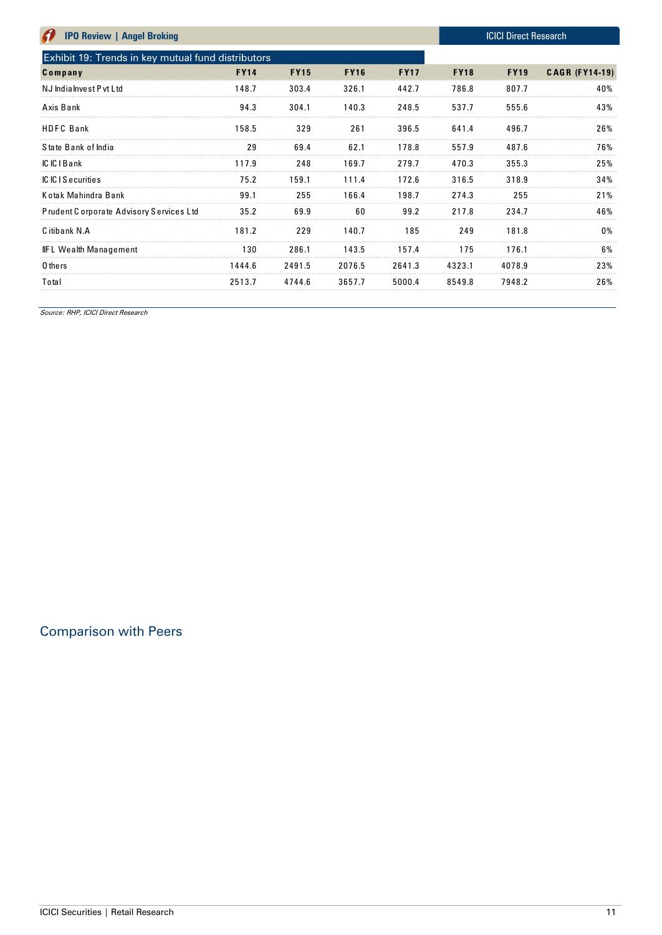| <b>IPO Review   Angel Broking</b>                  |             |             |             |             |             | <b>ICICI Direct Research</b> |                       |
|----------------------------------------------------|-------------|-------------|-------------|-------------|-------------|------------------------------|-----------------------|
| Exhibit 19: Trends in key mutual fund distributors |             |             |             |             |             |                              |                       |
| Company                                            | <b>FY14</b> | <b>FY15</b> | <b>FY16</b> | <b>FY17</b> | <b>FY18</b> | <b>FY19</b>                  | <b>CAGR (FY14-19)</b> |
| NJ India Invest P vt Ltd                           | 148.7       | 303.4       | 326.1       | 442.7       | 786.8       | 807.7                        | 40%                   |
| Axis Bank                                          | 94.3        | 304.1       | 140.3       | 248.5       | 537.7       | 555.6                        | 43%                   |
| <b>HDFC</b> Bank                                   | 158.5       | 329         | 261         | 396.5       | 641.4       | 496.7                        | 26%                   |
| State Bank of India                                | 29          | 69.4        | 62.1        | 178.8       | 557.9       | 487.6                        | 76%                   |
| IC IC I Bank                                       | 117.9       | 248         | 169.7       | 279.7       | 470.3       | 355.3                        | 25%                   |
| <b>ICICIS</b> ecurities                            | 75.2        | 159.1       | 111.4       | 172.6       | 316.5       | 318.9                        | 34%                   |
| Kotak Mahindra Bank                                | 99.1        | 255         | 166.4       | 198.7       | 274.3       | 255                          | 21%                   |
| Prudent Corporate Advisory Services Ltd            | 35.2        | 69.9        | 60          | 99.2        | 217.8       | 234.7                        | 46%                   |
| C itibank N.A                                      | 181.2       | 229         | 140.7       | 185         | 249         | 181.8                        | 0%                    |
| <b>IIFL Wealth Management</b>                      | 130         | 286.1       | 143.5       | 157.4       | 175         | 176.1                        | 6%                    |
| 0 thers                                            | 1444.6      | 2491.5      | 2076.5      | 2641.3      | 4323.1      | 4078.9                       | 23%                   |
| Total                                              | 2513.7      | 4744.6      | 3657.7      | 5000.4      | 8549.8      | 7948.2                       | 26%                   |

# Comparison with Peers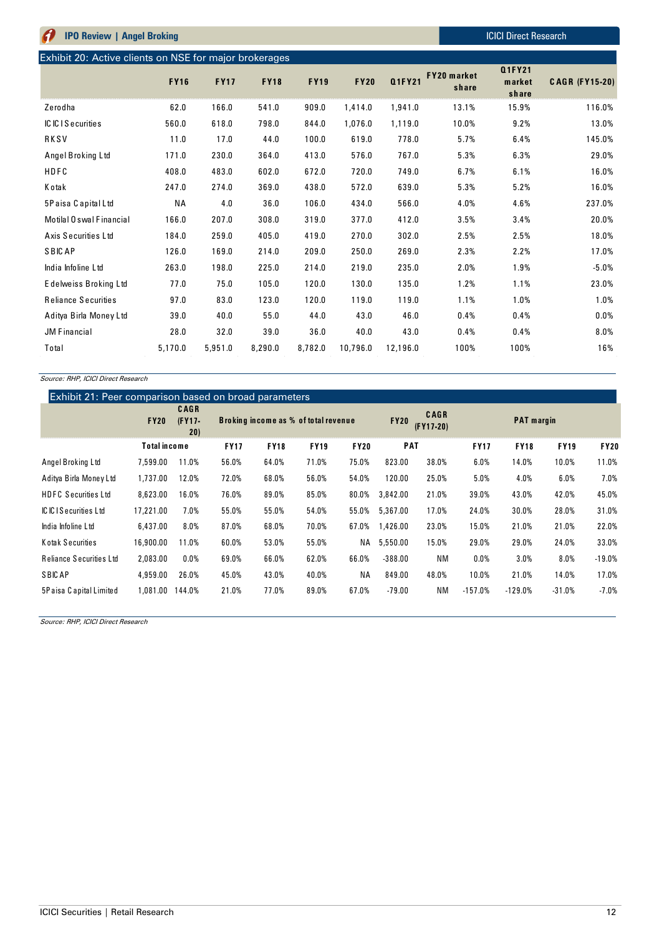| A<br><b>IPO Review   Angel Broking</b>                 |             |             |             |             |             |          |                             | <b>ICICI Direct Research</b>     |                       |
|--------------------------------------------------------|-------------|-------------|-------------|-------------|-------------|----------|-----------------------------|----------------------------------|-----------------------|
| Exhibit 20: Active clients on NSE for major brokerages |             |             |             |             |             |          |                             |                                  |                       |
|                                                        | <b>FY16</b> | <b>FY17</b> | <b>FY18</b> | <b>FY19</b> | <b>FY20</b> | Q1FY21   | <b>FY20</b> market<br>share | <b>Q1FY21</b><br>market<br>share | <b>CAGR (FY15-20)</b> |
| Zerodha                                                | 62.0        | 166.0       | 541.0       | 909.0       | 1,414.0     | 1,941.0  | 13.1%                       | 15.9%                            | 116.0%                |
| IC IC I Securities                                     | 560.0       | 618.0       | 798.0       | 844.0       | 1,076.0     | 1,119.0  | 10.0%                       | 9.2%                             | 13.0%                 |
| RKSV                                                   | 11.0        | 17.0        | 44.0        | 100.0       | 619.0       | 778.0    | 5.7%                        | 6.4%                             | 145.0%                |
| Angel Broking Ltd                                      | 171.0       | 230.0       | 364.0       | 413.0       | 576.0       | 767.0    | 5.3%                        | 6.3%                             | 29.0%                 |
| HDFC                                                   | 408.0       | 483.0       | 602.0       | 672.0       | 720.0       | 749.0    | 6.7%                        | 6.1%                             | 16.0%                 |
| K otak                                                 | 247.0       | 274.0       | 369.0       | 438.0       | 572.0       | 639.0    | 5.3%                        | 5.2%                             | 16.0%                 |
| 5Paisa Capital Ltd                                     | <b>NA</b>   | 4.0         | 36.0        | 106.0       | 434.0       | 566.0    | 4.0%                        | 4.6%                             | 237.0%                |
| Motilal O swal Financial                               | 166.0       | 207.0       | 308.0       | 319.0       | 377.0       | 412.0    | 3.5%                        | 3.4%                             | 20.0%                 |
| Axis Securities Ltd                                    | 184.0       | 259.0       | 405.0       | 419.0       | 270.0       | 302.0    | 2.5%                        | 2.5%                             | 18.0%                 |
| <b>SBICAP</b>                                          | 126.0       | 169.0       | 214.0       | 209.0       | 250.0       | 269.0    | 2.3%                        | 2.2%                             | 17.0%                 |
| India Infoline Ltd                                     | 263.0       | 198.0       | 225.0       | 214.0       | 219.0       | 235.0    | 2.0%                        | 1.9%                             | $-5.0%$               |
| Edelweiss Broking Ltd                                  | 77.0        | 75.0        | 105.0       | 120.0       | 130.0       | 135.0    | 1.2%                        | 1.1%                             | 23.0%                 |
| <b>Reliance Securities</b>                             | 97.0        | 83.0        | 123.0       | 120.0       | 119.0       | 119.0    | 1.1%                        | 1.0%                             | 1.0%                  |
| Aditya Birla Money Ltd                                 | 39.0        | 40.0        | 55.0        | 44.0        | 43.0        | 46.0     | 0.4%                        | 0.4%                             | 0.0%                  |
| <b>JM Financial</b>                                    | 28.0        | 32.0        | 39.0        | 36.0        | 40.0        | 43.0     | 0.4%                        | 0.4%                             | 8.0%                  |
| Total                                                  | 5,170.0     | 5,951.0     | 8,290.0     | 8,782.0     | 10,796.0    | 12,196.0 | 100%                        | 100%                             | 16%                   |

### Exhibit 21: Peer comparison based on broad parameters

|                                | <b>FY20</b>         | <b>CAGR</b><br>$(FY17 -$<br>20) |             | Exhibit 21: Peer comparison based on broad parameters<br>Broking income as % of total revenue |             |             |            | <b>CAGR</b><br>$(FY17-20)$ |             | <b>PAT</b> margin |             |             |  |
|--------------------------------|---------------------|---------------------------------|-------------|-----------------------------------------------------------------------------------------------|-------------|-------------|------------|----------------------------|-------------|-------------------|-------------|-------------|--|
|                                | <b>Total income</b> |                                 | <b>FY17</b> | <b>FY18</b>                                                                                   | <b>FY19</b> | <b>FY20</b> | <b>PAT</b> |                            | <b>FY17</b> | <b>FY18</b>       | <b>FY19</b> | <b>FY20</b> |  |
| Angel Broking Ltd              | 7,599.00            | 11.0%                           | 56.0%       | 64.0%                                                                                         | 71.0%       | 75.0%       | 823.00     | 38.0%                      | 6.0%        | 14.0%             | 10.0%       | 11.0%       |  |
| Aditya Birla Money Ltd         | 1,737.00            | 12.0%                           | 72.0%       | 68.0%                                                                                         | 56.0%       | 54.0%       | 120.00     | 25.0%                      | 5.0%        | 4.0%              | 6.0%        | 7.0%        |  |
| <b>HDFC Securities Ltd</b>     | 8,623.00            | 16.0%                           | 76.0%       | 89.0%                                                                                         | 85.0%       | 80.0%       | 3,842.00   | 21.0%                      | 39.0%       | 43.0%             | 42.0%       | 45.0%       |  |
| <b>ICICIS</b> ecurities Ltd    | 17,221.00           | 7.0%                            | 55.0%       | 55.0%                                                                                         | 54.0%       | 55.0%       | 5,367.00   | 17.0%                      | 24.0%       | 30.0%             | 28.0%       | 31.0%       |  |
| India Infoline Ltd             | 6,437.00            | 8.0%                            | 87.0%       | 68.0%                                                                                         | 70.0%       | 67.0%       | 1,426.00   | 23.0%                      | 15.0%       | 21.0%             | 21.0%       | 22.0%       |  |
| Kotak Securities               | 16,900.00           | 11.0%                           | 60.0%       | 53.0%                                                                                         | 55.0%       | NA          | 5,550.00   | 15.0%                      | 29.0%       | 29.0%             | 24.0%       | 33.0%       |  |
| <b>Reliance Securities Ltd</b> | 2,083.00            | $0.0\%$                         | 69.0%       | 66.0%                                                                                         | 62.0%       | 66.0%       | $-388.00$  | <b>NM</b>                  | 0.0%        | 3.0%              | 8.0%        | $-19.0%$    |  |
| <b>SBICAP</b>                  | 4,959.00            | 26.0%                           | 45.0%       | 43.0%                                                                                         | 40.0%       | <b>NA</b>   | 849.00     | 48.0%                      | 10.0%       | 21.0%             | 14.0%       | 17.0%       |  |
| 5Paisa Capital Limited         | 1,081.00            | 144.0%                          | 21.0%       | 77.0%                                                                                         | 89.0%       | 67.0%       | $-79.00$   | <b>NM</b>                  | $-157.0%$   | $-129.0%$         | $-31.0%$    | $-7.0%$     |  |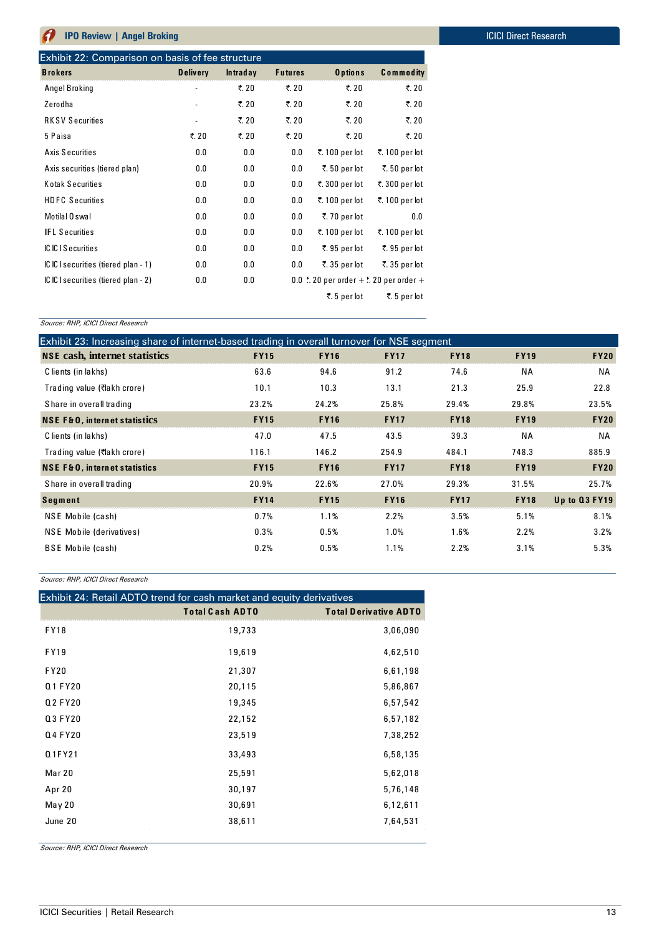| <b>Brokers</b>                       | <b>Delivery</b>              | <b>Intraday</b> | <b>Futures</b> | O p tions                                                         | <b>Commodity</b> |
|--------------------------------------|------------------------------|-----------------|----------------|-------------------------------------------------------------------|------------------|
| Angel Broking                        |                              | ₹. 20           | ₹. 20          | ₹. 20                                                             | ₹. 20            |
| Zerodha                              | $\qquad \qquad \blacksquare$ | ₹. 20           | ₹. 20          | ₹. 20                                                             | ₹. 20            |
| <b>RKSV Securities</b>               | $\overline{\phantom{a}}$     | ₹. 20           | ₹. 20          | ₹. 20                                                             | ₹. 20            |
| 5 Paisa                              | ₹. 20                        | ₹. 20           | ₹. 20          | ₹. 20                                                             | ₹. 20            |
| Axis Securities                      | 0.0                          | 0.0             | 0.0            | ₹. 100 per lot                                                    | ₹. 100 per lot   |
| Axis securities (tiered plan)        | 0.0                          | 0.0             | 0.0            | ₹. 50 per lot                                                     | ₹.50 per lot     |
| Kotak Securities                     | 0.0                          | 0.0             | 0.0            | ₹.300 per lot                                                     | ₹.300 per lot    |
| <b>HDFC Securities</b>               | 0.0                          | 0.0             | 0.0            | ₹. 100 per lot                                                    | ₹. 100 per lot   |
| Motilal 0 swal                       | 0.0                          | 0.0             | 0.0            | ₹.70 per lot                                                      | 0.0              |
| <b>IFL Securities</b>                | 0.0                          | 0.0             | 0.0            | ₹. 100 per lot                                                    | ₹. 100 per lot   |
| IC IC I Securities                   | 0.0                          | 0.0             | 0.0            | ₹.95 per lot                                                      | ₹.95 per lot     |
| IC IC I securities (tiered plan - 1) | 0.0                          | 0.0             | 0.0            | ₹.35 per lot                                                      | ₹.35 per lot     |
| IC IC I securities (tiered plan - 2) | 0.0                          | 0.0             |                | 0.0 $\frac{1}{6}$ . 20 per order + $\frac{1}{6}$ . 20 per order + |                  |
|                                      |                              |                 |                | ₹.5 per lot                                                       | ₹.5 per lot      |

| Source: RHP, ICICI Direct Research                                                         |             |             |             |             |             |               |
|--------------------------------------------------------------------------------------------|-------------|-------------|-------------|-------------|-------------|---------------|
| Exhibit 23: Increasing share of internet-based trading in overall turnover for NSE segment |             |             |             |             |             |               |
| <b>NSE</b> cash, internet statistics                                                       | <b>FY15</b> | <b>FY16</b> | <b>FY17</b> | <b>FY18</b> | <b>FY19</b> | <b>FY20</b>   |
| C lients (in lakhs)                                                                        | 63.6        | 94.6        | 91.2        | 74.6        | <b>NA</b>   | ΝA            |
| Trading value (₹lakh crore)                                                                | 10.1        | 10.3        | 13.1        | 21.3        | 25.9        | 22.8          |
| Share in overall trading                                                                   | 23.2%       | 24.2%       | 25.8%       | 29.4%       | 29.8%       | 23.5%         |
| <b>NSE F&amp;O, internet statistics</b>                                                    | <b>FY15</b> | <b>FY16</b> | <b>FY17</b> | <b>FY18</b> | <b>FY19</b> | <b>FY20</b>   |
| C lients (in lakhs)                                                                        | 47.0        | 47.5        | 43.5        | 39.3        | <b>NA</b>   | ΝA            |
| Trading value (₹lakh crore)                                                                | 116.1       | 146.2       | 254.9       | 484.1       | 748.3       | 885.9         |
| <b>NSE F&amp;O, internet statistics</b>                                                    | <b>FY15</b> | <b>FY16</b> | <b>FY17</b> | <b>FY18</b> | <b>FY19</b> | <b>FY20</b>   |
| Share in overall trading                                                                   | 20.9%       | 22.6%       | 27.0%       | 29.3%       | 31.5%       | 25.7%         |
| <b>Segment</b>                                                                             | <b>FY14</b> | <b>FY15</b> | <b>FY16</b> | <b>FY17</b> | <b>FY18</b> | Up to Q3 FY19 |
| NSE Mobile (cash)                                                                          | 0.7%        | 1.1%        | 2.2%        | 3.5%        | 5.1%        | 8.1%          |
| NSE Mobile (derivatives)                                                                   | 0.3%        | 0.5%        | 1.0%        | 1.6%        | 2.2%        | 3.2%          |
| <b>BSE</b> Mobile (cash)                                                                   | 0.2%        | 0.5%        | 1.1%        | 2.2%        | 3.1%        | 5.3%          |

Source: RHP, ICICI Direct Research

| <u>oodi oo: 11111 , 10101 Dii ool Ticocaron</u> |                                                                      |                              |
|-------------------------------------------------|----------------------------------------------------------------------|------------------------------|
|                                                 | Exhibit 24: Retail ADTO trend for cash market and equity derivatives |                              |
|                                                 | <b>Total Cash ADTO</b>                                               | <b>Total Derivative ADTO</b> |
| <b>FY18</b>                                     | 19,733                                                               | 3,06,090                     |
| <b>FY19</b>                                     | 19,619                                                               | 4,62,510                     |
| <b>FY20</b>                                     | 21,307                                                               | 6,61,198                     |
| Q1 FY20                                         | 20,115                                                               | 5,86,867                     |
| Q2 FY20                                         | 19,345                                                               | 6,57,542                     |
| Q3 FY20                                         | 22,152                                                               | 6,57,182                     |
| Q4 FY20                                         | 23,519                                                               | 7,38,252                     |
| Q1FY21                                          | 33,493                                                               | 6,58,135                     |
| Mar 20                                          | 25,591                                                               | 5,62,018                     |
| Apr 20                                          | 30,197                                                               | 5,76,148                     |
| May 20                                          | 30,691                                                               | 6,12,611                     |
| June 20                                         | 38,611                                                               | 7,64,531                     |
|                                                 |                                                                      |                              |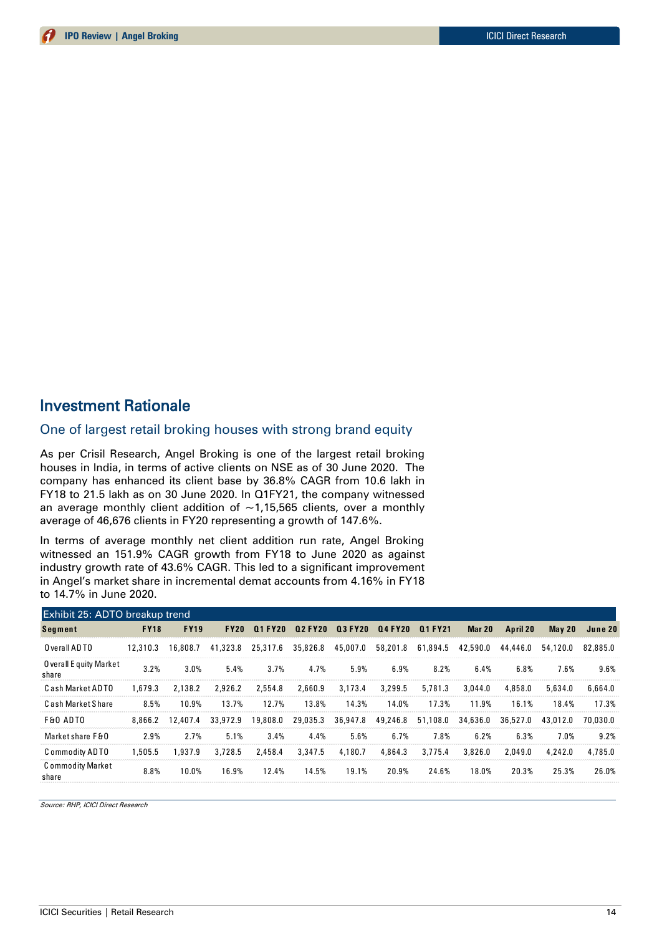# Investment Rationale

### One of largest retail broking houses with strong brand equity

As per Crisil Research, Angel Broking is one of the largest retail broking houses in India, in terms of active clients on NSE as of 30 June 2020. The company has enhanced its client base by 36.8% CAGR from 10.6 lakh in FY18 to 21.5 lakh as on 30 June 2020. In Q1FY21, the company witnessed an average monthly client addition of  $\sim$ 1,15,565 clients, over a monthly average of 46,676 clients in FY20 representing a growth of 147.6%.

In terms of average monthly net client addition run rate, Angel Broking witnessed an 151.9% CAGR growth from FY18 to June 2020 as against industry growth rate of 43.6% CAGR. This led to a significant improvement in Angel's market share in incremental demat accounts from 4.16% in FY18 to 14.7% in June 2020.

| Exhibit 25: ADTO breakup trend   |             |             |             |          |          |                 |          |                 |          |          |          |          |
|----------------------------------|-------------|-------------|-------------|----------|----------|-----------------|----------|-----------------|----------|----------|----------|----------|
| <b>Segment</b>                   | <b>FY18</b> | <b>FY19</b> | <b>FY20</b> | 01 FY20  |          | Q2 FY20 Q3 FY20 |          | 04 FY20 01 FY21 | Mar 20   | April 20 | May $20$ | June 20  |
| O verall ADTO                    | 12,310.3    | 16,808.7    | 41.323.8    | 25,317.6 | 35,826.8 | 45,007.0        | 58,201.8 | 61,894.5        | 42,590.0 | 44,446.0 | 54,120.0 | 82,885.0 |
| O verall E quity Market<br>share | 3.2%        | 3.0%        | 5.4%        | 3.7%     | 4.7%     | 5.9%            | 6.9%     | 8.2%            | 6.4%     | 6.8%     | 7.6%     | 9.6%     |
| <b>Cash Market ADTO</b>          | 1,679.3     | 2,138.2     | 2,926.2     | 2,554.8  | 2,660.9  | 3,173.4         | 3,299.5  | 5,781.3         | 3,044.0  | 4,858.0  | 5,634.0  | 6,664.0  |
| Cash Market Share                | 8.5%        | 10.9%       | 13.7%       | 12.7%    | 13.8%    | 14.3%           | 14.0%    | 17.3%           | 11.9%    | 16.1%    | 18.4%    | 17.3%    |
| <b>F&amp;O ADTO</b>              | 8,866.2     | 12,407.4    | 33,972.9    | 19,808.0 | 29,035.3 | 36,947.8        | 49,246.8 | 51,108.0        | 34,636.0 | 36,527.0 | 43,012.0 | 70,030.0 |
| Market share F&O                 | 2.9%        | 2.7%        | 5.1%        | 3.4%     | 4.4%     | 5.6%            | 6.7%     | 7.8%            | 6.2%     | 6.3%     | 7.0%     | 9.2%     |
| Commodity ADTO                   | 1.505.5     | 1.937.9     | 3,728.5     | 2.458.4  | 3,347.5  | 4,180.7         | 4,864.3  | 3,775.4         | 3,826.0  | 2,049.0  | 4,242.0  | 4,785.0  |
| <b>Commodity Market</b><br>share | 8.8%        | 10.0%       | 16.9%       | 12.4%    | 14.5%    | 19.1%           | 20.9%    | 24.6%           | 18.0%    | 20.3%    | 25.3%    | 26.0%    |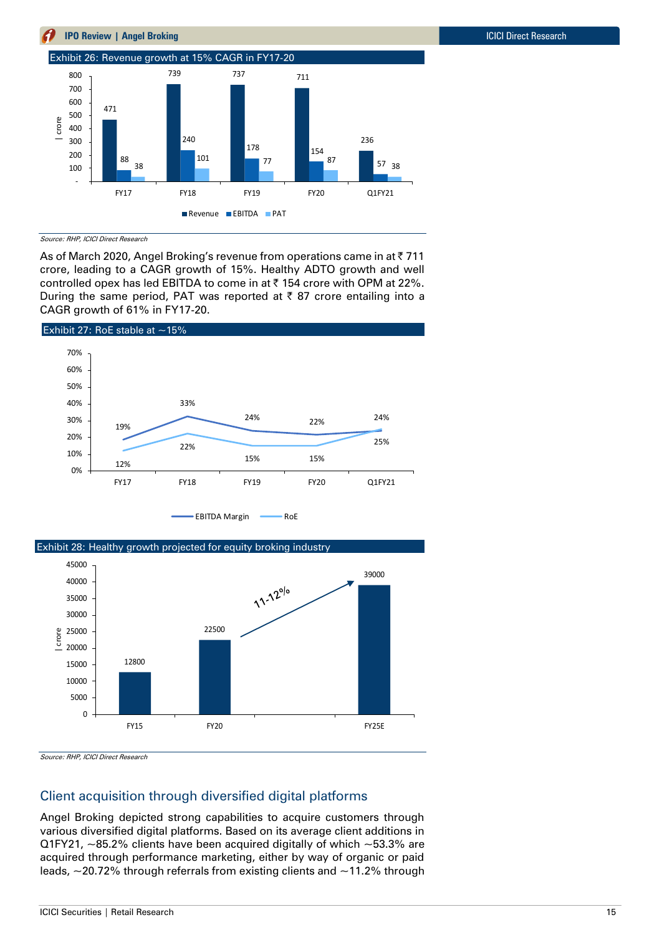

Source: RHP, ICICI Direct Research

As of March 2020, Angel Broking's revenue from operations came in at ₹711 crore, leading to a CAGR growth of 15%. Healthy ADTO growth and well controlled opex has led EBITDA to come in at ₹ 154 crore with OPM at 22%. During the same period, PAT was reported at  $\bar{\tau}$  87 crore entailing into a CAGR growth of 61% in FY17-20.





Source: RHP, ICICI Direct Research

# Client acquisition through diversified digital platforms

Angel Broking depicted strong capabilities to acquire customers through various diversified digital platforms. Based on its average client additions in Q1FY21,  $\sim$ 85.2% clients have been acquired digitally of which  $\sim$ 53.3% are acquired through performance marketing, either by way of organic or paid leads,  $\sim$  20.72% through referrals from existing clients and  $\sim$  11.2% through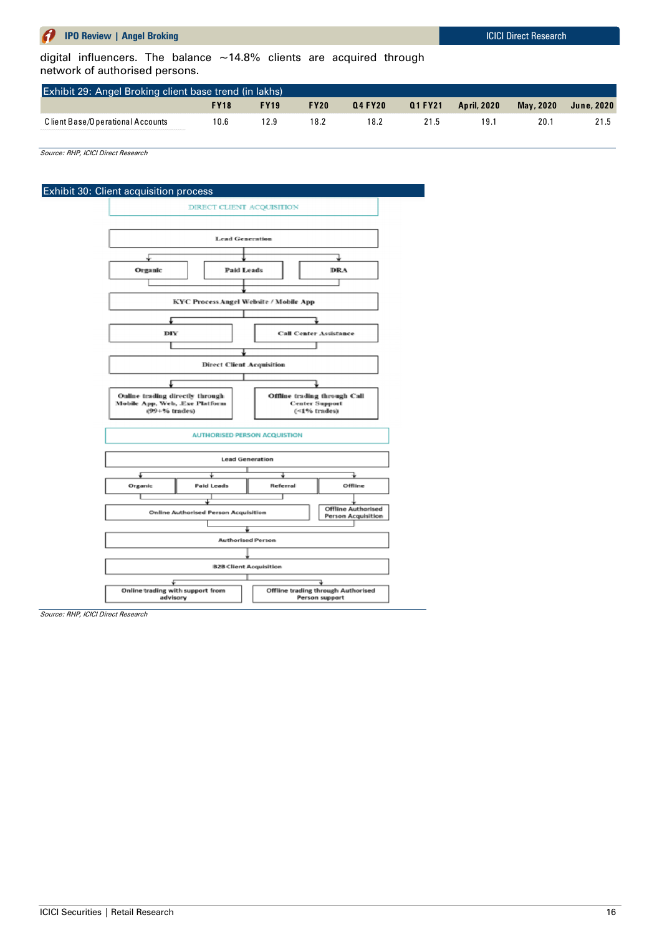digital influencers. The balance  $~14.8\%$  clients are acquired through network of authorised persons.

| $q$ digital inhericats. The balance $\sim$ 14.0% chemis are acquired through<br>network of authorised persons. |             |             |             |               |         |                    |           |            |
|----------------------------------------------------------------------------------------------------------------|-------------|-------------|-------------|---------------|---------|--------------------|-----------|------------|
| Exhibit 29: Angel Broking client base trend (in lakhs)                                                         |             |             |             |               |         |                    |           |            |
|                                                                                                                | <b>FY18</b> | <b>FY19</b> | <b>FY20</b> | <b>Q4FY20</b> | Q1 FY21 | <b>April, 2020</b> | Mav. 2020 | June, 2020 |
| C lient Base/O perational Accounts                                                                             | 10.6        | 12.9        | 18.2        | 18.2          | 21.5    | ∵9ا                | 20.1      | 21.5       |

Source: RHP, ICICI Direct Research

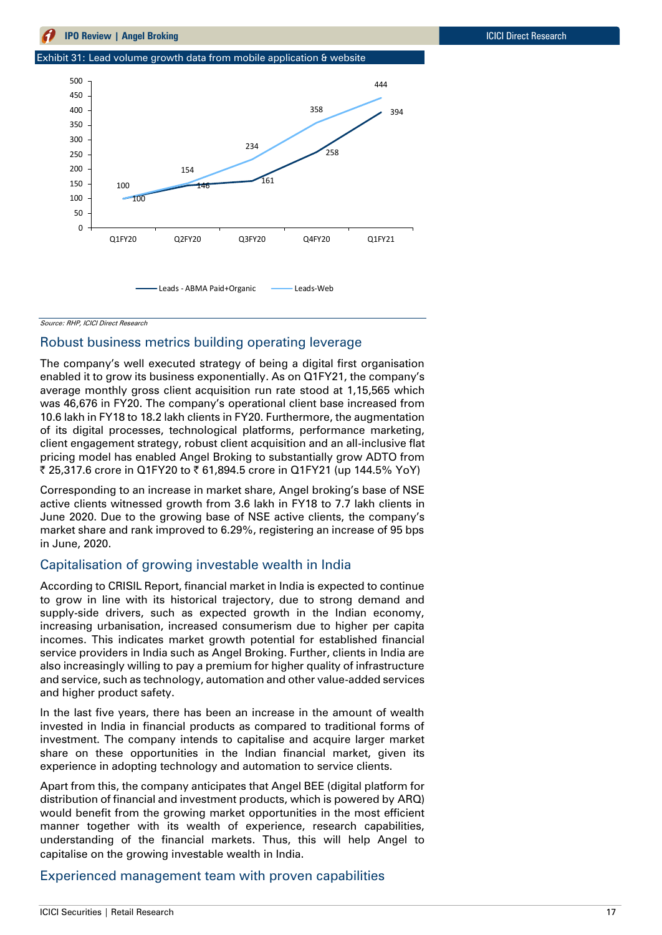Exhibit 31: Lead volume growth data from mobile application & website



Source: RHP, ICICI Direct Research

### Robust business metrics building operating leverage

The company's well executed strategy of being a digital first organisation enabled it to grow its business exponentially. As on Q1FY21, the company's average monthly gross client acquisition run rate stood at 1,15,565 which was 46,676 in FY20. The company's operational client base increased from 10.6 lakh in FY18 to 18.2 lakh clients in FY20. Furthermore, the augmentation of its digital processes, technological platforms, performance marketing, client engagement strategy, robust client acquisition and an all-inclusive flat pricing model has enabled Angel Broking to substantially grow ADTO from ₹ 25,317.6 crore in Q1FY20 to ₹ 61,894.5 crore in Q1FY21 (up 144.5% YoY)

Corresponding to an increase in market share, Angel broking's base of NSE active clients witnessed growth from 3.6 lakh in FY18 to 7.7 lakh clients in June 2020. Due to the growing base of NSE active clients, the company's market share and rank improved to 6.29%, registering an increase of 95 bps in June, 2020.

### Capitalisation of growing investable wealth in India

According to CRISIL Report, financial market in India is expected to continue to grow in line with its historical trajectory, due to strong demand and supply-side drivers, such as expected growth in the Indian economy, increasing urbanisation, increased consumerism due to higher per capita incomes. This indicates market growth potential for established financial service providers in India such as Angel Broking. Further, clients in India are also increasingly willing to pay a premium for higher quality of infrastructure and service, such as technology, automation and other value-added services and higher product safety.

In the last five years, there has been an increase in the amount of wealth invested in India in financial products as compared to traditional forms of investment. The company intends to capitalise and acquire larger market share on these opportunities in the Indian financial market, given its experience in adopting technology and automation to service clients.

Apart from this, the company anticipates that Angel BEE (digital platform for distribution of financial and investment products, which is powered by ARQ) would benefit from the growing market opportunities in the most efficient manner together with its wealth of experience, research capabilities, understanding of the financial markets. Thus, this will help Angel to capitalise on the growing investable wealth in India.

### Experienced management team with proven capabilities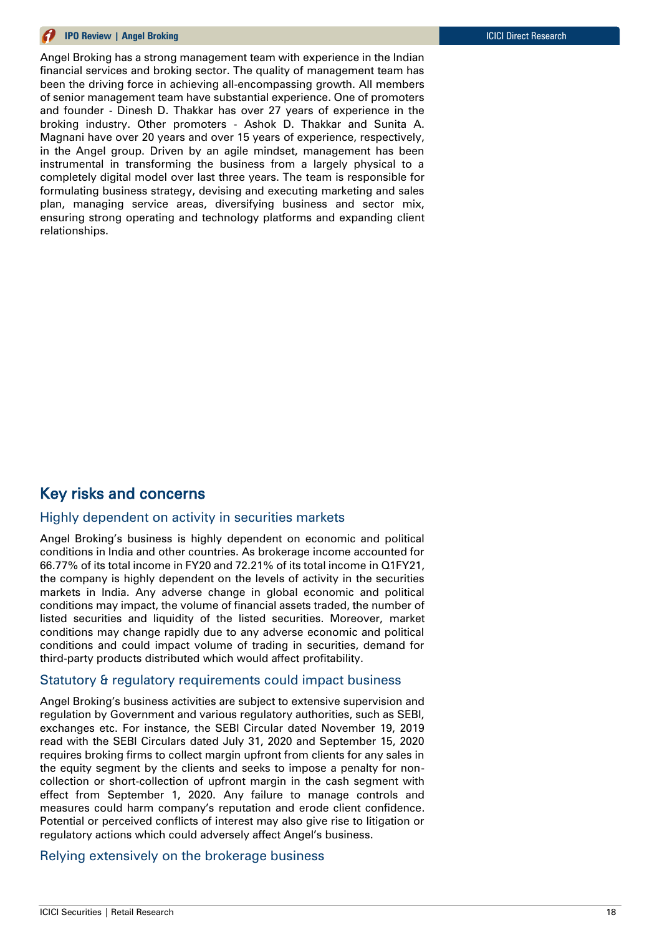Angel Broking has a strong management team with experience in the Indian financial services and broking sector. The quality of management team has been the driving force in achieving all-encompassing growth. All members of senior management team have substantial experience. One of promoters and founder - Dinesh D. Thakkar has over 27 years of experience in the broking industry. Other promoters - Ashok D. Thakkar and Sunita A. Magnani have over 20 years and over 15 years of experience, respectively, in the Angel group. Driven by an agile mindset, management has been instrumental in transforming the business from a largely physical to a completely digital model over last three years. The team is responsible for formulating business strategy, devising and executing marketing and sales plan, managing service areas, diversifying business and sector mix, ensuring strong operating and technology platforms and expanding client relationships.

# Key risks and concerns

### Highly dependent on activity in securities markets

Angel Broking's business is highly dependent on economic and political conditions in India and other countries. As brokerage income accounted for 66.77% of its total income in FY20 and 72.21% of its total income in Q1FY21, the company is highly dependent on the levels of activity in the securities markets in India. Any adverse change in global economic and political conditions may impact, the volume of financial assets traded, the number of listed securities and liquidity of the listed securities. Moreover, market conditions may change rapidly due to any adverse economic and political conditions and could impact volume of trading in securities, demand for third-party products distributed which would affect profitability.

### Statutory & regulatory requirements could impact business

Angel Broking's business activities are subject to extensive supervision and regulation by Government and various regulatory authorities, such as SEBI, exchanges etc. For instance, the SEBI Circular dated November 19, 2019 read with the SEBI Circulars dated July 31, 2020 and September 15, 2020 requires broking firms to collect margin upfront from clients for any sales in the equity segment by the clients and seeks to impose a penalty for noncollection or short-collection of upfront margin in the cash segment with effect from September 1, 2020. Any failure to manage controls and measures could harm company's reputation and erode client confidence. Potential or perceived conflicts of interest may also give rise to litigation or regulatory actions which could adversely affect Angel's business.

### Relying extensively on the brokerage business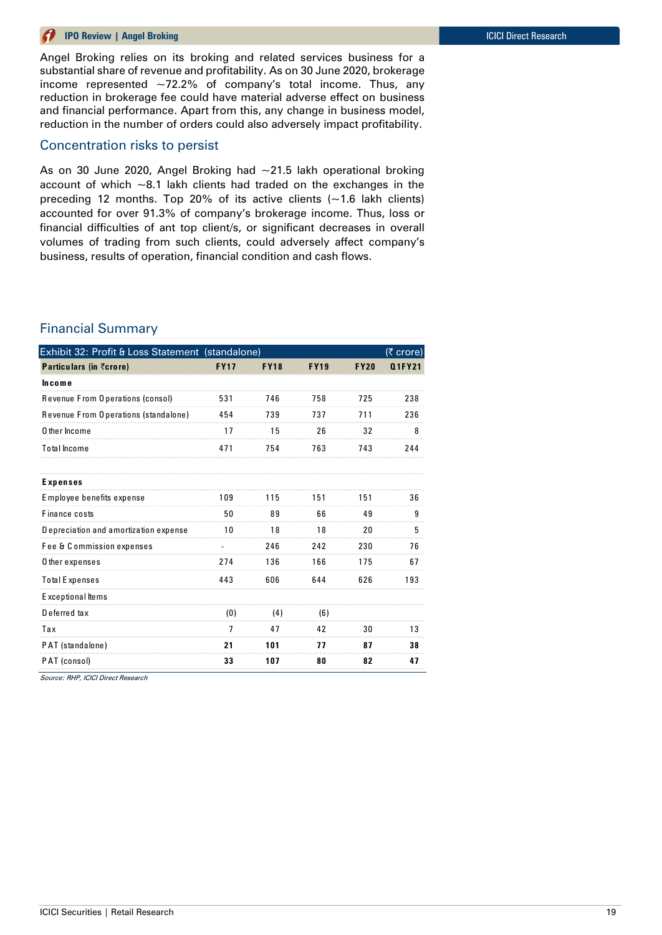Angel Broking relies on its broking and related services business for a substantial share of revenue and profitability. As on 30 June 2020, brokerage income represented  $\sim$ 72.2% of company's total income. Thus, any reduction in brokerage fee could have material adverse effect on business and financial performance. Apart from this, any change in business model, reduction in the number of orders could also adversely impact profitability.

### Concentration risks to persist

As on 30 June 2020, Angel Broking had ~21.5 lakh operational broking account of which  $\sim$ 8.1 lakh clients had traded on the exchanges in the preceding 12 months. Top 20% of its active clients  $(-1.6$  lakh clients) accounted for over 91.3% of company's brokerage income. Thus, loss or financial difficulties of ant top client/s, or significant decreases in overall volumes of trading from such clients, could adversely affect company's business, results of operation, financial condition and cash flows.

### Financial Summary

| Exhibit 32: Profit & Loss Statement (standalone) |             |             |             |             | (₹ crore) |
|--------------------------------------------------|-------------|-------------|-------------|-------------|-----------|
| <b>Particulars (in ₹crore)</b>                   | <b>FY17</b> | <b>FY18</b> | <b>FY19</b> | <b>FY20</b> | Q1FY21    |
| <b>Income</b>                                    |             |             |             |             |           |
| Revenue From Operations (consol)                 | 531         | 746         | 758         | 725         | 238       |
| Revenue From Operations (standalone)             | 454         | 739         | 737         | 711         | 236       |
| O ther Income                                    | 17          | 15          | 26          | 32          | 8         |
| <b>Total Income</b>                              | 471         | 754         | 763         | 743         | 244       |
| Expenses                                         |             |             |             |             |           |
| Employee benefits expense                        | 109         | 115         | 151         | 151         | 36        |
| Finance costs                                    | 50          | 89          | 66          | 49          | 9         |
| Depreciation and amortization expense            | 10          | 18          | 18          | 20          | 5         |
| Fee & Commission expenses                        |             | 246         | 242         | 230         | 76        |
| O ther expenses                                  | 274         | 136         | 166         | 175         | 67        |
| <b>Total Expenses</b>                            | 443         | 606         | 644         | 626         | 193       |
| Exceptional Items                                |             |             |             |             |           |
| Deferred tax                                     | (0)         | (4)         | (6)         |             |           |
| Tax                                              | 7           | 47          | 42          | 30          | 13        |
| PAT (standalone)                                 | 21          | 101         | 77          | 87          | 38        |
| PAT (consol)                                     | 33          | 107         | 80          | 82          | 47        |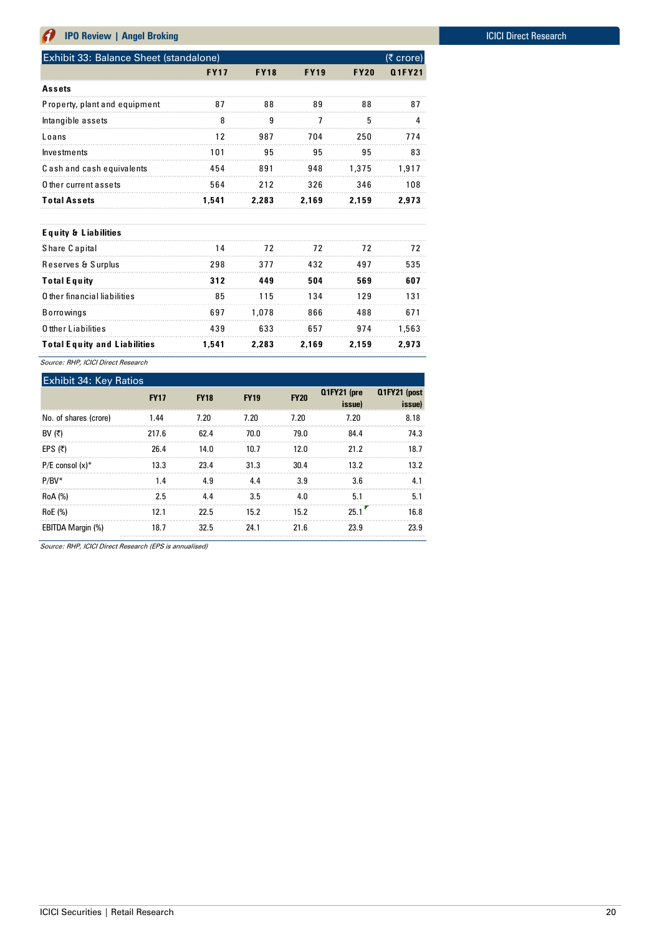| Exhibit 33: Balance Sheet (standalone)<br>(₹ crore) |             |             |             |             |        |  |  |  |
|-----------------------------------------------------|-------------|-------------|-------------|-------------|--------|--|--|--|
|                                                     | <b>FY17</b> | <b>FY18</b> | <b>FY19</b> | <b>FY20</b> | Q1FY21 |  |  |  |
| <b>Assets</b>                                       |             |             |             |             |        |  |  |  |
| Property, plant and equipment                       | 87          | 88          | 89          | 88          | 87     |  |  |  |
| Intangible assets                                   | 8           | 9           | 7           | 5           | 4      |  |  |  |
| Loans                                               | 12          | 987         | 704         | 250         | 774    |  |  |  |
| <b>Investments</b>                                  | 101         | 95          | 95          | 95          | 83     |  |  |  |
| Cash and cash equivalents                           | 454         | 891         | 948         | 1.375       | 1.917  |  |  |  |
| O ther current assets                               | 564         | 212         | 326         | 346         | 108    |  |  |  |
| <b>Total Assets</b>                                 | 1.541       | 2,283       | 2,169       | 2.159       | 2.973  |  |  |  |
|                                                     |             |             |             |             |        |  |  |  |
| <b>Equity &amp; Liabilities</b>                     |             |             |             |             |        |  |  |  |
| Share Capital                                       | 14          | 72          | 72          | 72          | 72     |  |  |  |
| Reserves & Surplus                                  | 298         | 377         | 432         | 497         | 535    |  |  |  |
| <b>Total Equity</b>                                 | 312         | 449         | 504         | 569         | 607    |  |  |  |
| O ther financial liabilities                        | 85          | 115         | 134         | 129         | 131    |  |  |  |
| <b>Borrowings</b>                                   | 697         | 1.078       | 866         | 488         | 671    |  |  |  |
| O tther Liabilities                                 | 439         | 633         | 657         | 974         | 1,563  |  |  |  |
| <b>Total Equity and Liabilities</b>                 | 1.541       | 2.283       | 2.169       | 2.159       | 2.973  |  |  |  |

Source: RHP, ICICI Direct Research

| <b>Exhibit 34: Key Ratios</b> |             |             |             |             |                       |                        |
|-------------------------------|-------------|-------------|-------------|-------------|-----------------------|------------------------|
|                               | <b>FY17</b> | <b>FY18</b> | <b>FY19</b> | <b>FY20</b> | Q1FY21 (pre<br>issue) | Q1FY21 (post<br>issue) |
| No. of shares (crore)         | 1.44        | 7.20        | 7.20        | 7.20        | 7.20                  | 8.18                   |
| BV (₹)                        | 217.6       | 62.4        | 70.0        | 79.0        | 84.4                  | 74.3                   |
| EPS $(7)$                     | 26.4        | 14.0        | 10.7        | 12.0        | 21.2                  | 18.7                   |
| $P/E$ consol $(x)^*$          | 13.3        | 23.4        | 31.3        | 30.4        | 13.2                  | 13.2                   |
| $P/BV^*$                      | 1.4         | 4.9         | 4.4         | 3.9         | 3.6                   | 4.1                    |
| <b>RoA</b> (%)                | 2.5         | 4.4         | 3.5         | 4.0         | 5.1                   | 5.1                    |
| RoE (%)                       | 12.1        | 22.5        | 15.2        | 15.2        | 25.1                  | 16.8                   |
| EBITDA Margin (%)             | 18.7        | 32.5        | 24.1        | 21.6        | 23.9                  | 23.9                   |

Source: RHP, ICICI Direct Research (EPS is annualised)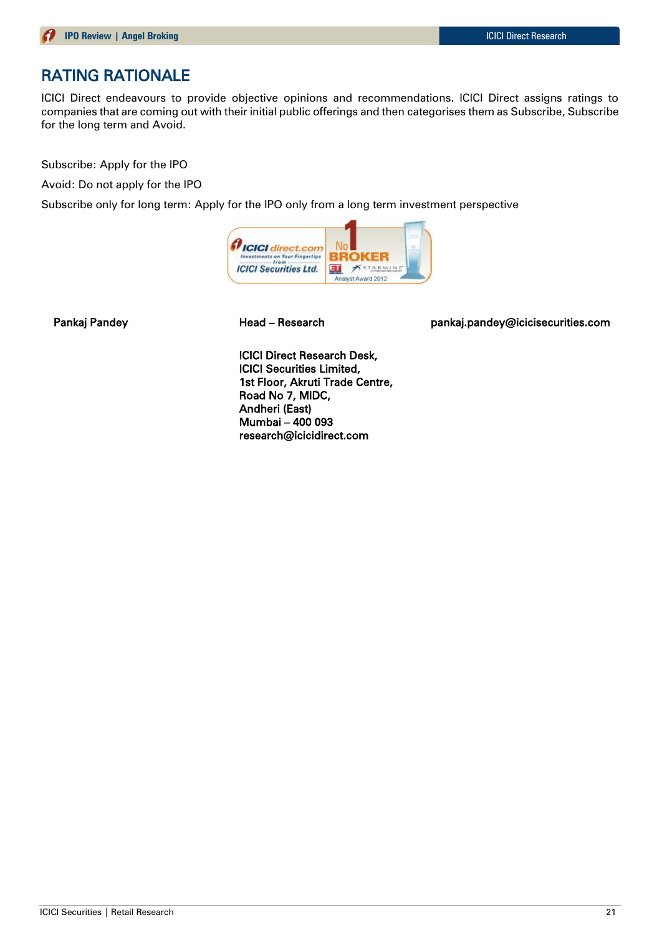# RATING RATIONALE

ICICI Direct endeavours to provide objective opinions and recommendations. ICICI Direct assigns ratings to companies that are coming out with their initial public offerings and then categorises them as Subscribe, Subscribe for the long term and Avoid.

Subscribe: Apply for the IPO

Avoid: Do not apply for the IPO

Subscribe only for long term: Apply for the IPO only from a long term investment perspective



Pankaj Pandey **Mandey Read – Research East Communist Pankaj.pandey@icicisecurities.com** 

ICICI Direct Research Desk, ICICI Securities Limited, 1st Floor, Akruti Trade Centre, Road No 7, MIDC, Andheri (East) Mumbai – 400 093 research@icicidirect.com